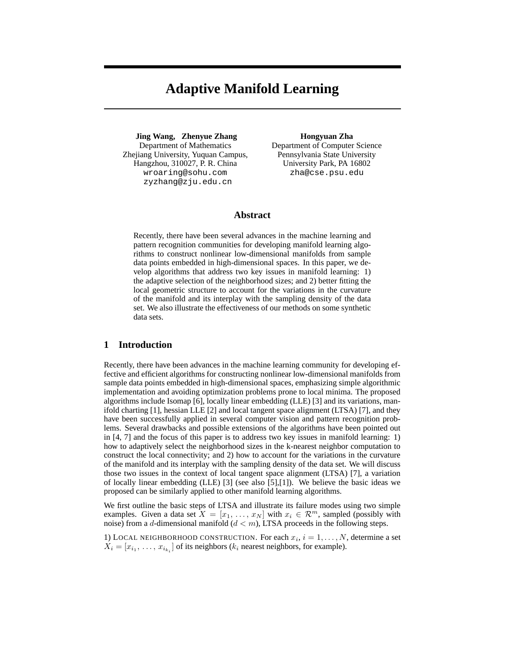# **Adaptive Manifold Learning**

**Jing Wang, Zhenyue Zhang** Department of Mathematics Zhejiang University, Yuquan Campus, Hangzhou, 310027, P. R. China wroaring@sohu.com zyzhang@zju.edu.cn

**Hongyuan Zha**

Department of Computer Science Pennsylvania State University University Park, PA 16802 zha@cse.psu.edu

# **Abstract**

Recently, there have been several advances in the machine learning and pattern recognition communities for developing manifold learning algorithms to construct nonlinear low-dimensional manifolds from sample data points embedded in high-dimensional spaces. In this paper, we develop algorithms that address two key issues in manifold learning: 1) the adaptive selection of the neighborhood sizes; and 2) better fitting the local geometric structure to account for the variations in the curvature of the manifold and its interplay with the sampling density of the data set. We also illustrate the effectiveness of our methods on some synthetic data sets.

# **1 Introduction**

Recently, there have been advances in the machine learning community for developing effective and efficient algorithms for constructing nonlinear low-dimensional manifolds from sample data points embedded in high-dimensional spaces, emphasizing simple algorithmic implementation and avoiding optimization problems prone to local minima. The proposed algorithms include Isomap [6], locally linear embedding (LLE) [3] and its variations, manifold charting [1], hessian LLE [2] and local tangent space alignment (LTSA) [7], and they have been successfully applied in several computer vision and pattern recognition problems. Several drawbacks and possible extensions of the algorithms have been pointed out in [4, 7] and the focus of this paper is to address two key issues in manifold learning: 1) how to adaptively select the neighborhood sizes in the k-nearest neighbor computation to construct the local connectivity; and 2) how to account for the variations in the curvature of the manifold and its interplay with the sampling density of the data set. We will discuss those two issues in the context of local tangent space alignment (LTSA) [7], a variation of locally linear embedding (LLE)  $[3]$  (see also  $[5]$ , $[1]$ ). We believe the basic ideas we proposed can be similarly applied to other manifold learning algorithms.

We first outline the basic steps of LTSA and illustrate its failure modes using two simple examples. Given a data set  $X = [x_1, \ldots, x_N]$  with  $x_i \in \mathbb{R}^m$ , sampled (possibly with noise) from a d-dimensional manifold  $(d < m)$ , LTSA proceeds in the following steps.

1) LOCAL NEIGHBORHOOD CONSTRUCTION. For each  $x_i$ ,  $i = 1, ..., N$ , determine a set  $X_i = [x_{i_1}, \ldots, x_{i_{k_i}}]$  of its neighbors ( $k_i$  nearest neighbors, for example).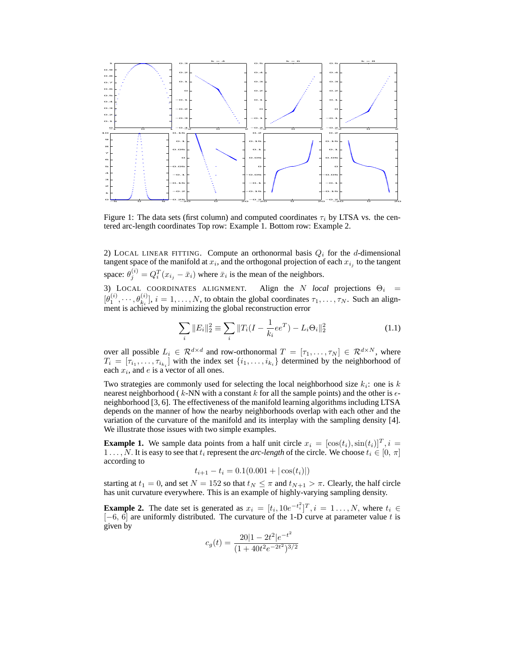

Figure 1: The data sets (first column) and computed coordinates  $\tau_i$  by LTSA vs. the centered arc-length coordinates Top row: Example 1. Bottom row: Example 2.

2) LOCAL LINEAR FITTING. Compute an orthonormal basis  $Q_i$  for the d-dimensional tangent space of the manifold at  $x_i$ , and the orthogonal projection of each  $x_{i_j}$  to the tangent space:  $\theta_j^{(i)} = Q_i^T(x_{i_j} - \bar{x}_i)$  where  $\bar{x}_i$  is the mean of the neighbors.

3) LOCAL COORDINATES ALIGNMENT. Align the N *local* projections  $\Theta_i$  =  $[\theta_1^{(i)},\dots,\theta_{k_i}^{(i)}], i = 1,\dots,N$ , to obtain the global coordinates  $\tau_1,\dots,\tau_N$ . Such an alignment is achieved by minimizing the global reconstruction error

$$
\sum_{i} ||E_{i}||_{2}^{2} \equiv \sum_{i} ||T_{i}(I - \frac{1}{k_{i}}ee^{T}) - L_{i}\Theta_{i}||_{2}^{2}
$$
\n(1.1)

over all possible  $L_i \in \mathcal{R}^{d \times d}$  and row-orthonormal  $T = [\tau_1, \dots, \tau_N] \in \mathcal{R}^{d \times N}$ , where  $T_i = [\tau_{i_1}, \ldots, \tau_{i_{k_i}}]$  with the index set  $\{i_1, \ldots, i_{k_i}\}$  determined by the neighborhood of each  $x_i$ , and  $e$  is a vector of all ones.

Two strategies are commonly used for selecting the local neighborhood size  $k_i$ : one is k nearest neighborhood ( $k$ -NN with a constant k for all the sample points) and the other is  $\epsilon$ neighborhood [3, 6]. The effectiveness of the manifold learning algorithms including LTSA depends on the manner of how the nearby neighborhoods overlap with each other and the variation of the curvature of the manifold and its interplay with the sampling density [4]. We illustrate those issues with two simple examples.

**Example 1.** We sample data points from a half unit circle  $x_i = [\cos(t_i), \sin(t_i)]^T$ ,  $i =$ 1 . . . , N. It is easy to see that  $t_i$  represent the *arc-length* of the circle. We choose  $t_i \in [0, \pi]$ according to

$$
t_{i+1} - t_i = 0.1(0.001 + |\cos(t_i)|)
$$

starting at  $t_1 = 0$ , and set  $N = 152$  so that  $t_N \leq \pi$  and  $t_{N+1} > \pi$ . Clearly, the half circle has unit curvature everywhere. This is an example of highly-varying sampling density.

**Example 2.** The date set is generated as  $x_i = [t_i, 10e^{-t_i^2}]^T$ ,  $i = 1, ..., N$ , where  $t_i \in$  $[-6, 6]$  are uniformly distributed. The curvature of the 1-D curve at parameter value t is given by

$$
c_g(t) = \frac{20|1 - 2t^2|e^{-t^2}}{(1 + 40t^2e^{-2t^2})^{3/2}}
$$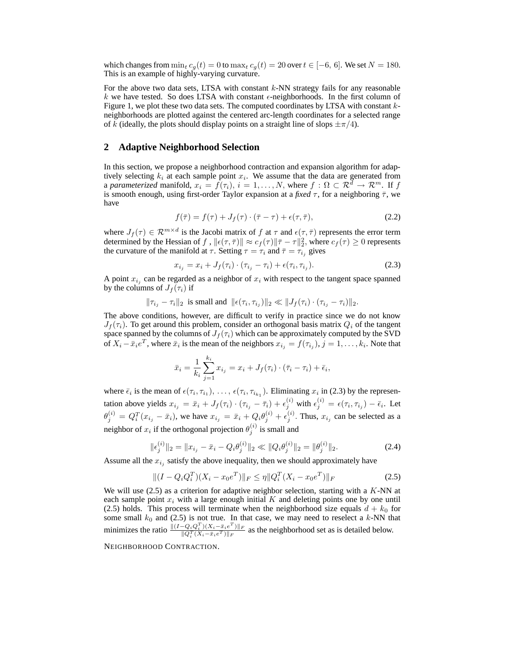which changes from  $\min_t c_q(t) = 0$  to  $\max_t c_q(t) = 20$  over  $t \in [-6, 6]$ . We set  $N = 180$ . This is an example of highly-varying curvature.

For the above two data sets, LTSA with constant  $k$ -NN strategy fails for any reasonable k we have tested. So does LTSA with constant  $\epsilon$ -neighborhoods. In the first column of Figure 1, we plot these two data sets. The computed coordinates by LTSA with constant  $k$ neighborhoods are plotted against the centered arc-length coordinates for a selected range of k (ideally, the plots should display points on a straight line of slops  $\pm \pi/4$ ).

#### **2 Adaptive Neighborhood Selection**

In this section, we propose a neighborhood contraction and expansion algorithm for adaptively selecting  $k_i$  at each sample point  $x_i$ . We assume that the data are generated from a *parameterized* manifold,  $x_i = f(\tau_i)$ ,  $i = 1, ..., N$ , where  $f : \Omega \subset \mathbb{R}^d \to \mathbb{R}^m$ . If f is smooth enough, using first-order Taylor expansion at a *fixed*  $\tau$ , for a neighboring  $\bar{\tau}$ , we have

$$
f(\bar{\tau}) = f(\tau) + J_f(\tau) \cdot (\bar{\tau} - \tau) + \epsilon(\tau, \bar{\tau}), \tag{2.2}
$$

where  $J_f(\tau) \in \mathcal{R}^{m \times d}$  is the Jacobi matrix of f at  $\tau$  and  $\epsilon(\tau, \bar{\tau})$  represents the error term determined by the Hessian of f,  $\|\epsilon(\tau,\bar{\tau})\| \approx c_f(\tau) \|\bar{\tau} - \tau\|_2^2$ , where  $c_f(\tau) \ge 0$  represents the curvature of the manifold at  $\tau$ . Setting  $\tau = \tau_i$  and  $\bar{\tau} = \tau_{i_j}$  gives

$$
x_{i_j} = x_i + J_f(\tau_i) \cdot (\tau_{i_j} - \tau_i) + \epsilon(\tau_i, \tau_{i_j}). \tag{2.3}
$$

A point  $x_{i_j}$  can be regarded as a neighbor of  $x_i$  with respect to the tangent space spanned by the columns of  $J_f(\tau_i)$  if

$$
\|\tau_{i_j}-\tau_i\|_2 \text{ is small and } \|\epsilon(\tau_i,\tau_{i_j})\|_2 \ll \|J_f(\tau_i)\cdot(\tau_{i_j}-\tau_i)\|_2.
$$

The above conditions, however, are difficult to verify in practice since we do not know  $J_f(\tau_i)$ . To get around this problem, consider an orthogonal basis matrix  $Q_i$  of the tangent space spanned by the columns of  $J_f(\tau_i)$  which can be approximately computed by the SVD of  $X_i - \bar{x}_i e^T$ , where  $\bar{x}_i$  is the mean of the neighbors  $x_{i_j} = f(\tau_{i_j})$ ,  $j = 1, ..., k_i$ . Note that

$$
\bar{x}_i = \frac{1}{k_i} \sum_{j=1}^{k_i} x_{i_j} = x_i + J_f(\tau_i) \cdot (\bar{\tau}_i - \tau_i) + \bar{\epsilon}_i,
$$

where  $\bar{\epsilon}_i$  is the mean of  $\epsilon(\tau_i, \tau_{i_1}), \ldots, \epsilon(\tau_i, \tau_{i_{k_1}})$ . Eliminating  $x_i$  in (2.3) by the representation above yields  $x_{i_j} = \bar{x}_i + J_f(\tau_i) \cdot (\tau_{i_j} - \bar{\tau}_i) + \epsilon_j^{(i)}$  with  $\epsilon_j^{(i)} = \epsilon(\tau_i, \tau_{i_j}) - \bar{\epsilon}_i$ . Let  $\theta_j^{(i)} = Q_i^T(x_{i_j} - \bar{x}_i)$ , we have  $x_{i_j} = \bar{x}_i + Q_i \theta_j^{(i)} + \epsilon_j^{(i)}$ . Thus,  $x_{i_j}$  can be selected as a neighbor of  $x_i$  if the orthogonal projection  $\theta_j^{(i)}$  is small and

$$
\|\epsilon_j^{(i)}\|_2 = \|x_{i_j} - \bar{x}_i - Q_i \theta_j^{(i)}\|_2 \ll \|Q_i \theta_j^{(i)}\|_2 = \|\theta_j^{(i)}\|_2.
$$
 (2.4)

Assume all the  $x_{i_j}$  satisfy the above inequality, then we should approximately have

$$
||(I - Q_i Q_i^T)(X_i - x_0 e^T)||_F \le \eta ||Q_i^T(X_i - x_0 e^T)||_F
$$
\n(2.5)

We will use  $(2.5)$  as a criterion for adaptive neighbor selection, starting with a K-NN at each sample point  $x_i$  with a large enough initial K and deleting points one by one until (2.5) holds. This process will terminate when the neighborhood size equals  $d + k_0$  for some small  $k_0$  and (2.5) is not true. In that case, we may need to reselect a  $k$ -NN that minimizes the ratio  $\frac{\|(I-Q_iQ_i^T)(X_i-\bar{x}_ie^T)\|_F}{\|Q_i^T(X_i-\bar{x}_ie^T)\|_F}$  $\frac{-Q_i Q_i (X_i - \bar{x}_i e^{-\frac{\pi}{E}}) \| F}{\| Q_i^T (X_i - \bar{x}_i e^T) \| F}$  as the neighborhood set as is detailed below.

NEIGHBORHOOD CONTRACTION.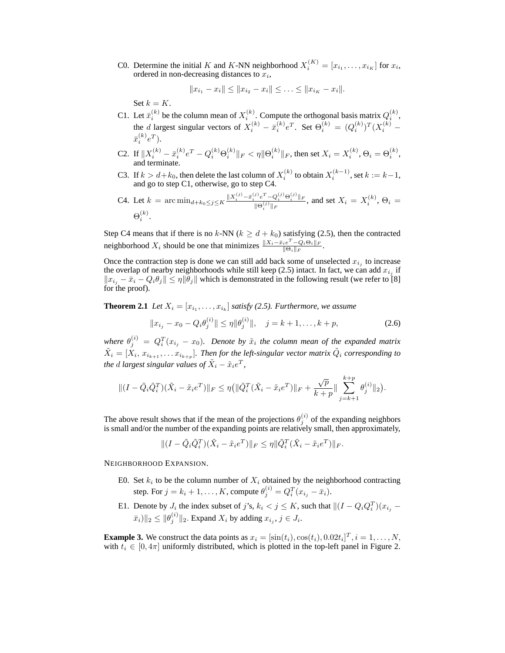C0. Determine the initial K and K-NN neighborhood  $X_i^{(K)} = [x_{i_1}, \dots, x_{i_K}]$  for  $x_i$ , ordered in non-decreasing distances to  $x_i$ ,

$$
||x_{i_1}-x_i|| \leq ||x_{i_2}-x_i|| \leq \ldots \leq ||x_{i_K}-x_i||.
$$

Set  $k = K$ .

C1. Let  $\bar{x}_i^{(k)}$  be the column mean of  $X_i^{(k)}$ . Compute the orthogonal basis matrix  $Q_i^{(k)}$ , the *d* largest singular vectors of  $X_i^{(k)} - \bar{x}_i^{(k)}e^T$ . Set  $\Theta_i^{(k)} = (Q_i^{(k)})^T (X_i^{(k)} - \bar{Q}_i^{(k)})^T$  $\bar{x}_i^{(k)}e^T$ ). i

- C2. If  $||X_i^{(k)} \bar{x}_i^{(k)} e^T Q_i^{(k)} \Theta_i^{(k)}||_F < \eta ||\Theta_i^{(k)}||_F$ , then set  $X_i = X_i^{(k)}$ ,  $\Theta_i = \Theta_i^{(k)}$ , and terminate.
- C3. If  $k > d + k_0$ , then delete the last column of  $X_i^{(k)}$  to obtain  $X_i^{(k-1)}$ , set  $k := k-1$ , and go to step C1, otherwise, go to step C4.

C4. Let 
$$
k = \arcsin_{d+k_0 \le j \le K} \frac{\|X_i^{(j)} - \bar{x}_i^{(j)} e^T - Q_i^{(j)} \Theta_i^{(j)}\|_F}{\|\Theta_i^{(j)}\|_F}
$$
, and set  $X_i = X_i^{(k)}$ ,  $\Theta_i = \Theta_i^{(k)}$ .

Step C4 means that if there is no k-NN ( $k \ge d + k_0$ ) satisfying (2.5), then the contracted neighborhood  $X_i$  should be one that minimizes  $\frac{\|X_i-\bar{x}_i e^T-Q_i\Theta_i\|_F}{\|\Theta_i\|_F}$  $\frac{e^{\text{ }}-Q_i\Theta_i\|_F}{\|\Theta_i\|_F}.$ 

Once the contraction step is done we can still add back some of unselected  $x_{i_j}$  to increase the overlap of nearby neighborhoods while still keep (2.5) intact. In fact, we can add  $x_{i_j}$  if  $||x_{i_j} - \bar{x}_i - Q_i \theta_j|| \leq \eta ||\bar{\theta}_j||$  which is demonstrated in the following result (we refer to [8] for the proof).

**Theorem 2.1** *Let*  $X_i = [x_{i_1}, \ldots, x_{i_k}]$  *satisfy* (2.5). *Furthermore, we assume* 

$$
||x_{i_j} - x_0 - Q_i \theta_j^{(i)}|| \le \eta ||\theta_j^{(i)}||, \quad j = k+1, \dots, k+p,
$$
\n(2.6)

where  $\theta_j^{(i)} = Q_i^T(x_{i_j} - x_0)$ . Denote by  $\tilde{x}_i$  the column mean of the expanded matrix  $\tilde{X}_i = [X_i, x_{i_{k+1}}, \ldots x_{i_{k+p}}]$ . Then for the left-singular vector matrix  $\tilde{Q}_i$  corresponding to *the d largest singular values of*  $\tilde{X}_i - \tilde{x}_i e^T$ ,

$$
\| (I - \tilde{Q}_i \tilde{Q}_i^T)(\tilde{X}_i - \tilde{x}_i e^T) \|_F \le \eta \left( \| \tilde{Q}_i^T(\tilde{X}_i - \tilde{x}_i e^T) \|_F + \frac{\sqrt{p}}{k+p} \| \sum_{j=k+1}^{k+p} \theta_j^{(i)} \|_2 \right).
$$

The above result shows that if the mean of the projections  $\theta_j^{(i)}$  of the expanding neighbors is small and/or the number of the expanding points are relatively small, then approximately,

$$
\|(I-\tilde{Q}_i\tilde{Q}_i^T)(\tilde{X}_i-\tilde{x}_i e^T)\|_F \leq \eta \|\tilde{Q}_i^T(\tilde{X}_i-\tilde{x}_i e^T)\|_F.
$$

NEIGHBORHOOD EXPANSION.

- E0. Set  $k_i$  to be the column number of  $X_i$  obtained by the neighborhood contracting step. For  $j = k_i + 1, ..., K$ , compute  $\theta_j^{(i)} = Q_i^T (x_{i_j} - \bar{x}_i)$ .
- E1. Denote by  $J_i$  the index subset of j's,  $k_i < j \le K$ , such that  $\| (I Q_i Q_i^T)(x_{i_j} \|\bar{x}_i\|_2 \le \|\theta_j^{(i)}\|_2$ . Expand  $X_i$  by adding  $x_{i_j}, j \in J_i$ .

**Example 3.** We construct the data points as  $x_i = [\sin(t_i), \cos(t_i), 0.02t_i]^T, i = 1, \dots, N$ , with  $t_i \in [0, 4\pi]$  uniformly distributed, which is plotted in the top-left panel in Figure 2.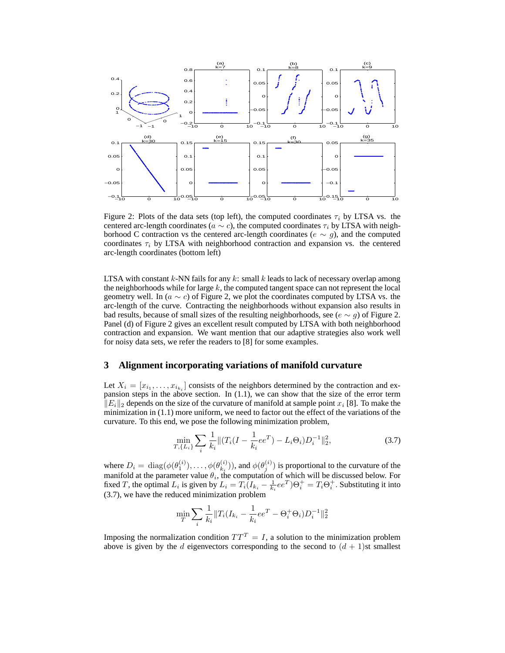

Figure 2: Plots of the data sets (top left), the computed coordinates  $\tau_i$  by LTSA vs. the centered arc-length coordinates ( $a \sim c$ ), the computed coordinates  $\tau_i$  by LTSA with neighborhood C contraction vs the centered arc-length coordinates ( $e \sim g$ ), and the computed coordinates  $\tau_i$  by LTSA with neighborhood contraction and expansion vs. the centered arc-length coordinates (bottom left)

LTSA with constant  $k$ -NN fails for any  $k$ : small  $k$  leads to lack of necessary overlap among the neighborhoods while for large  $k$ , the computed tangent space can not represent the local geometry well. In ( $a \sim c$ ) of Figure 2, we plot the coordinates computed by LTSA vs. the arc-length of the curve. Contracting the neighborhoods without expansion also results in bad results, because of small sizes of the resulting neighborhoods, see ( $e \sim q$ ) of Figure 2. Panel (d) of Figure 2 gives an excellent result computed by LTSA with both neighborhood contraction and expansion. We want mention that our adaptive strategies also work well for noisy data sets, we refer the readers to [8] for some examples.

#### **3 Alignment incorporating variations of manifold curvature**

Let  $X_i = [x_{i_1}, \ldots, x_{i_{k_i}}]$  consists of the neighbors determined by the contraction and expansion steps in the above section. In  $(1.1)$ , we can show that the size of the error term  $||E_i||_2$  depends on the size of the curvature of manifold at sample point  $x_i$  [8]. To make the minimization in (1.1) more uniform, we need to factor out the effect of the variations of the curvature. To this end, we pose the following minimization problem,

$$
\min_{T,\{L_i\}} \sum_i \frac{1}{k_i} \| (T_i(I - \frac{1}{k_i}ee^T) - L_i\Theta_i) D_i^{-1} \|_2^2,
$$
\n(3.7)

where  $D_i = \text{diag}(\phi(\theta_1^{(i)}), \dots, \phi(\theta_{k_i}^{(i)}))$  $\binom{(i)}{k_i}$ ), and  $\phi(\theta_j^{(i)})$  is proportional to the curvature of the manifold at the parameter value  $\theta_i$ , the computation of which will be discussed below. For fixed T, the optimal  $L_i$  is given by  $L_i = T_i (I_{k_i} - \frac{1}{k_i} e^{T}) \Theta_i^+ = T_i \Theta_i^+$ . Substituting it into (3.7), we have the reduced minimization problem

$$
\min_{T} \sum_{i} \frac{1}{k_i} \|T_i(I_{k_i} - \frac{1}{k_i}ee^T - \Theta_i^+ \Theta_i)D_i^{-1}\|_2^2
$$

Imposing the normalization condition  $TT^{T} = I$ , a solution to the minimization problem above is given by the d eigenvectors corresponding to the second to  $(d + 1)$ st smallest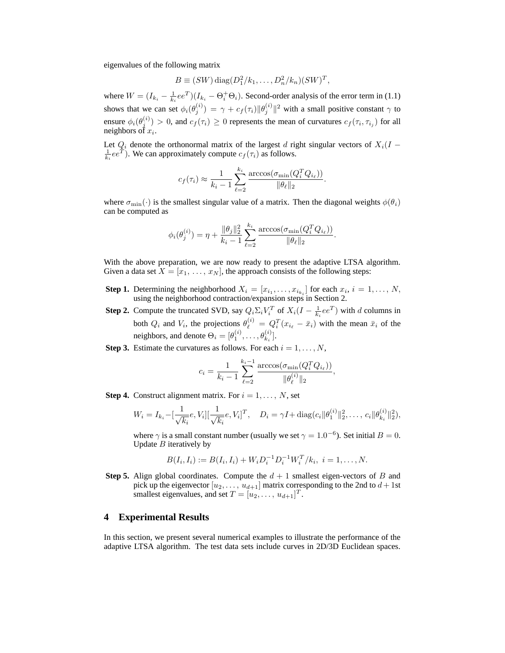eigenvalues of the following matrix

$$
B \equiv (SW) \operatorname{diag}(D_1^2/k_1, \ldots, D_n^2/k_n)(SW)^T,
$$

where  $W = (I_{k_i} - \frac{1}{k_i}ee^T)(I_{k_i} - \Theta_i^+\Theta_i)$ . Second-order analysis of the error term in (1.1) shows that we can set  $\phi_i(\theta_j^{(i)}) = \gamma + c_f(\tau_i) \|\theta_j^{(i)}\|^2$  with a small positive constant  $\gamma$  to ensure  $\phi_i(\theta_j^{(i)}) > 0$ , and  $c_f(\tau_i) \geq 0$  represents the mean of curvatures  $c_f(\tau_i, \tau_{i_j})$  for all neighbors of  $x_i$ .

Let  $Q_i$  denote the orthonormal matrix of the largest d right singular vectors of  $X_i(I - \frac{1}{k_i}ee^T)$ . We can approximately compute  $c_f(\tau_i)$  as follows.

$$
c_f(\tau_i) \approx \frac{1}{k_i - 1} \sum_{\ell=2}^{k_i} \frac{\arccos(\sigma_{\min}(Q_i^T Q_{i_\ell}))}{\|\theta_\ell\|_2}.
$$

where  $\sigma_{\min}(\cdot)$  is the smallest singular value of a matrix. Then the diagonal weights  $\phi(\theta_i)$ can be computed as

$$
\phi_i(\theta_j^{(i)}) = \eta + \frac{\|\theta_j\|_2^2}{k_i - 1} \sum_{\ell=2}^{k_i} \frac{\arccos(\sigma_{\min}(Q_i^T Q_{i_\ell}))}{\|\theta_\ell\|_2}.
$$

With the above preparation, we are now ready to present the adaptive LTSA algorithm. Given a data set  $X = [x_1, \ldots, x_N]$ , the approach consists of the following steps:

- **Step 1.** Determining the neighborhood  $X_i = [x_{i_1}, \dots, x_{i_{k_i}}]$  for each  $x_i$ ,  $i = 1, \dots, N$ , using the neighborhood contraction/expansion steps in Section 2.
- **Step 2.** Compute the truncated SVD, say  $Q_i \Sigma_i V_i^T$  of  $X_i(I \frac{1}{k_i}ee^T)$  with d columns in both  $Q_i$  and  $V_i$ , the projections  $\theta_{\ell}^{(i)} = Q_i^T(x_{i_{\ell}} - \bar{x}_i)$  with the mean  $\bar{x}_i$  of the neighbors, and denote  $\Theta_i = [\theta_1^{(i)}, \dots, \theta_{k_i}^{(i)}]$ .
- **Step 3.** Estimate the curvatures as follows. For each  $i = 1, ..., N$ ,

$$
c_i = \frac{1}{k_i - 1} \sum_{\ell=2}^{k_i - 1} \frac{\arccos(\sigma_{\min}(Q_i^T Q_{i_\ell}))}{\|\theta_{\ell}^{(i)}\|_2},
$$

**Step 4.** Construct alignment matrix. For  $i = 1, \ldots, N$ , set

$$
W_i = I_{k_i} - \left[\frac{1}{\sqrt{k_i}}e, V_i\right] \left[\frac{1}{\sqrt{k_i}}e, V_i\right]^T, \quad D_i = \gamma I + \text{diag}(c_i || \theta_1^{(i)} ||_2^2, \dots, c_i || \theta_{k_i}^{(i)} ||_2^2),
$$

where  $\gamma$  is a small constant number (usually we set  $\gamma = 1.0^{-6}$ ). Set initial  $B = 0$ . Update  $B$  iteratively by

$$
B(I_i, I_i) := B(I_i, I_i) + W_i D_i^{-1} D_i^{-1} W_i^T / k_i, \ i = 1, ..., N.
$$

**Step 5.** Align global coordinates. Compute the  $d + 1$  smallest eigen-vectors of B and pick up the eigenvector  $[u_2, \ldots, u_{d+1}]$  matrix corresponding to the 2nd to  $d+1$ st smallest eigenvalues, and set  $T = [u_2, \dots, u_{d+1}]^T$ .

### **4 Experimental Results**

In this section, we present several numerical examples to illustrate the performance of the adaptive LTSA algorithm. The test data sets include curves in 2D/3D Euclidean spaces.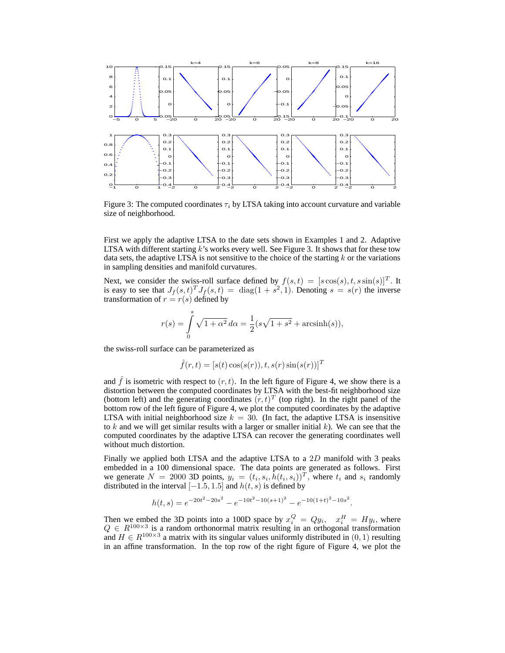

Figure 3: The computed coordinates  $\tau_i$  by LTSA taking into account curvature and variable size of neighborhood.

First we apply the adaptive LTSA to the date sets shown in Examples 1 and 2. Adaptive LTSA with different starting  $k$ 's works every well. See Figure 3. It shows that for these tow data sets, the adaptive LTSA is not sensitive to the choice of the starting  $k$  or the variations in sampling densities and manifold curvatures.

Next, we consider the swiss-roll surface defined by  $f(s,t) = [s\cos(s), t, s\sin(s)]^T$ . It is easy to see that  $J_f(s,t)^T J_f(s,t) = \text{diag}(1+s^2,1)$ . Denoting  $s = s(r)$  the inverse transformation of  $r = r(s)$  defined by

$$
r(s) = \int_{0}^{s} \sqrt{1 + \alpha^{2}} d\alpha = \frac{1}{2} (s\sqrt{1 + s^{2}} + \operatorname{arcsinh}(s)),
$$

the swiss-roll surface can be parameterized as

$$
\hat{f}(r,t) = [s(t)\cos(s(r)), t, s(r)\sin(s(r))]^T
$$

and  $\ddot{f}$  is isometric with respect to  $(r, t)$ . In the left figure of Figure 4, we show there is a distortion between the computed coordinates by LTSA with the best-fit neighborhood size (bottom left) and the generating coordinates  $(r, t)^T$  (top right). In the right panel of the bottom row of the left figure of Figure 4, we plot the computed coordinates by the adaptive LTSA with initial neighborhood size  $k = 30$ . (In fact, the adaptive LTSA is insensitive to k and we will get similar results with a larger or smaller initial  $k$ ). We can see that the computed coordinates by the adaptive LTSA can recover the generating coordinates well without much distortion.

Finally we applied both LTSA and the adaptive LTSA to a 2D manifold with 3 peaks embedded in a 100 dimensional space. The data points are generated as follows. First we generate  $N = 2000$  3D points,  $y_i = (t_i, s_i, h(t_i, s_i))^T$ , where  $t_i$  and  $s_i$  randomly distributed in the interval  $[-1.5, 1.5]$  and  $h(t, s)$  is defined by

$$
h(t,s) = e^{-20t^2 - 20s^2} - e^{-10t^2 - 10(s+1)^2} - e^{-10(1+t)^2 - 10s^2}.
$$

Then we embed the 3D points into a 100D space by  $x_i^Q = Qy_i$ ,  $x_i^H = Hy_i$ , where  $Q \in R^{100\times3}$  is a random orthonormal matrix resulting in an orthogonal transformation and  $H \in R^{100 \times 3}$  a matrix with its singular values uniformly distributed in  $(0, 1)$  resulting in an affine transformation. In the top row of the right figure of Figure 4, we plot the